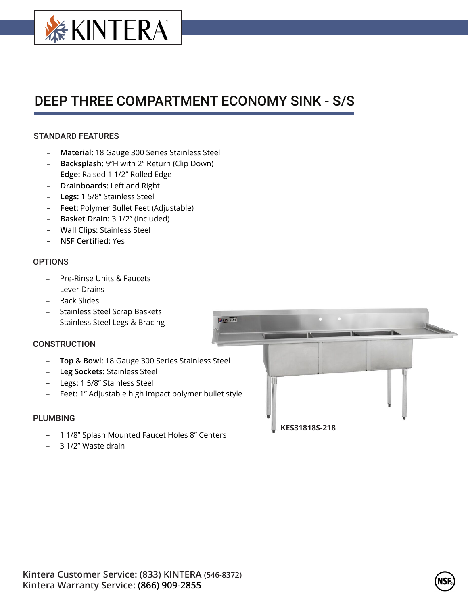

# DEEP THREE COMPARTMENT ECONOMY SINK - S/S

## STANDARD FEATURES

- **Material:** 18 Gauge 300 Series Stainless Steel
- **Backsplash:** 9"H with 2" Return (Clip Down)
- **Edge:** Raised 1 1/2" Rolled Edge
- **Drainboards:** Left and Right
- **Legs:** 1 5/8" Stainless Steel
- **Feet:** Polymer Bullet Feet (Adjustable)
- **Basket Drain:** 3 1/2" (Included)
- **Wall Clips:** Stainless Steel
- **NSF Certified:** Yes

### **OPTIONS**

- Pre-Rinse Units & Faucets
- Lever Drains
- Rack Slides
- Stainless Steel Scrap Baskets
- Stainless Steel Legs & Bracing

### **CONSTRUCTION**

- **Top & Bowl:** 18 Gauge 300 Series Stainless Steel
- **Leg Sockets:** Stainless Steel
- **Legs:** 1 5/8" Stainless Steel
- **Feet:** 1" Adjustable high impact polymer bullet style

### PLUMBING

- 1 1/8" Splash Mounted Faucet Holes 8" Centers
- 3 1/2" Waste drain